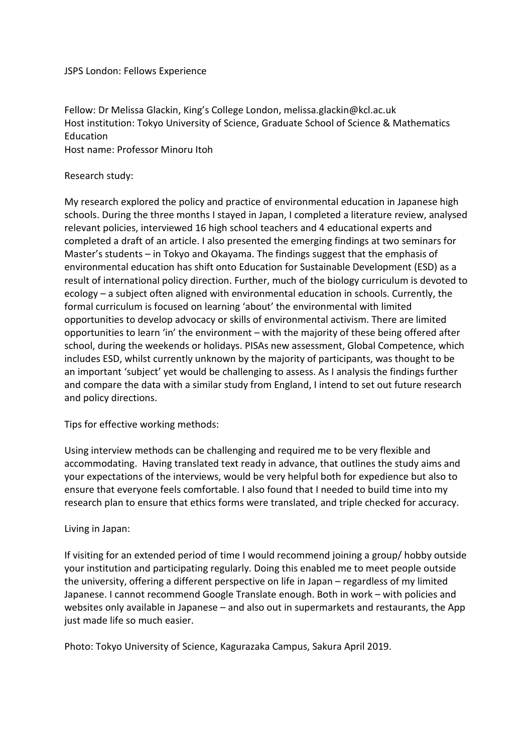## JSPS London: Fellows Experience

Fellow: Dr Melissa Glackin, King's College London, melissa.glackin@kcl.ac.uk Host institution: Tokyo University of Science, Graduate School of Science & Mathematics Education

Host name: Professor Minoru Itoh

## Research study:

My research explored the policy and practice of environmental education in Japanese high schools. During the three months I stayed in Japan, I completed a literature review, analysed relevant policies, interviewed 16 high school teachers and 4 educational experts and completed a draft of an article. I also presented the emerging findings at two seminars for Master's students – in Tokyo and Okayama. The findings suggest that the emphasis of environmental education has shift onto Education for Sustainable Development (ESD) as a result of international policy direction. Further, much of the biology curriculum is devoted to ecology – a subject often aligned with environmental education in schools. Currently, the formal curriculum is focused on learning 'about' the environmental with limited opportunities to develop advocacy or skills of environmental activism. There are limited opportunities to learn 'in' the environment – with the majority of these being offered after school, during the weekends or holidays. PISAs new assessment, Global Competence, which includes ESD, whilst currently unknown by the majority of participants, was thought to be an important 'subject' yet would be challenging to assess. As I analysis the findings further and compare the data with a similar study from England, I intend to set out future research and policy directions.

Tips for effective working methods:

Using interview methods can be challenging and required me to be very flexible and accommodating. Having translated text ready in advance, that outlines the study aims and your expectations of the interviews, would be very helpful both for expedience but also to ensure that everyone feels comfortable. I also found that I needed to build time into my research plan to ensure that ethics forms were translated, and triple checked for accuracy.

## Living in Japan:

If visiting for an extended period of time I would recommend joining a group/ hobby outside your institution and participating regularly. Doing this enabled me to meet people outside the university, offering a different perspective on life in Japan – regardless of my limited Japanese. I cannot recommend Google Translate enough. Both in work – with policies and websites only available in Japanese – and also out in supermarkets and restaurants, the App just made life so much easier.

Photo: Tokyo University of Science, Kagurazaka Campus, Sakura April 2019.